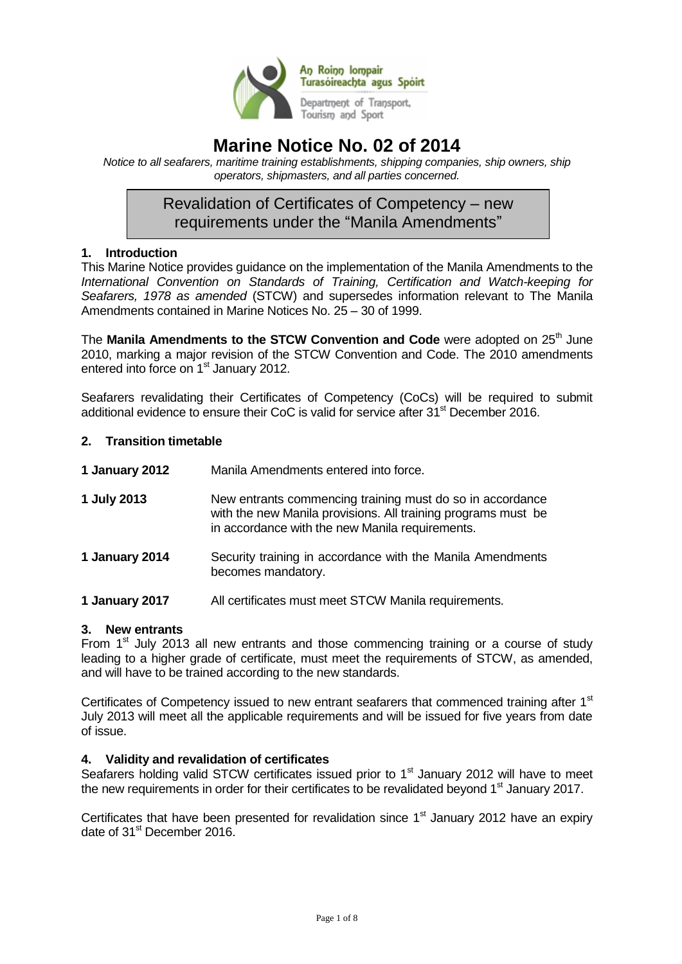

# **Marine Notice No. 02 of 2014**

*Notice to all seafarers, maritime training establishments, shipping companies, ship owners, ship operators, shipmasters, and all parties concerned.*

## Revalidation of Certificates of Competency – new requirements under the "Manila Amendments"

### **1. Introduction**

This Marine Notice provides guidance on the implementation of the Manila Amendments to the *International Convention on Standards of Training, Certification and Watch-keeping for Seafarers, 1978 as amended* (STCW) and supersedes information relevant to The Manila Amendments contained in Marine Notices No. 25 – 30 of 1999.

The **Manila Amendments to the STCW Convention and Code** were adopted on 25<sup>th</sup> June 2010, marking a major revision of the STCW Convention and Code. The 2010 amendments entered into force on 1<sup>st</sup> January 2012.

Seafarers revalidating their Certificates of Competency (CoCs) will be required to submit additional evidence to ensure their CoC is valid for service after  $31<sup>st</sup>$  December 2016.

### **2. Transition timetable**

| 1 January 2012 | Manila Amendments entered into force. |
|----------------|---------------------------------------|
|----------------|---------------------------------------|

- **1 July 2013** New entrants commencing training must do so in accordance with the new Manila provisions. All training programs must be in accordance with the new Manila requirements.
- **1 January 2014** Security training in accordance with the Manila Amendments becomes mandatory.
- **1 January 2017** All certificates must meet STCW Manila requirements.

### **3. New entrants**

From  $1<sup>st</sup>$  July 2013 all new entrants and those commencing training or a course of study leading to a higher grade of certificate, must meet the requirements of STCW, as amended, and will have to be trained according to the new standards.

Certificates of Competency issued to new entrant seafarers that commenced training after 1<sup>st</sup> July 2013 will meet all the applicable requirements and will be issued for five years from date of issue.

### **4. Validity and revalidation of certificates**

Seafarers holding valid STCW certificates issued prior to 1<sup>st</sup> January 2012 will have to meet the new requirements in order for their certificates to be revalidated beyond 1<sup>st</sup> January 2017.

Certificates that have been presented for revalidation since  $1<sup>st</sup>$  January 2012 have an expiry date of 31<sup>st</sup> December 2016.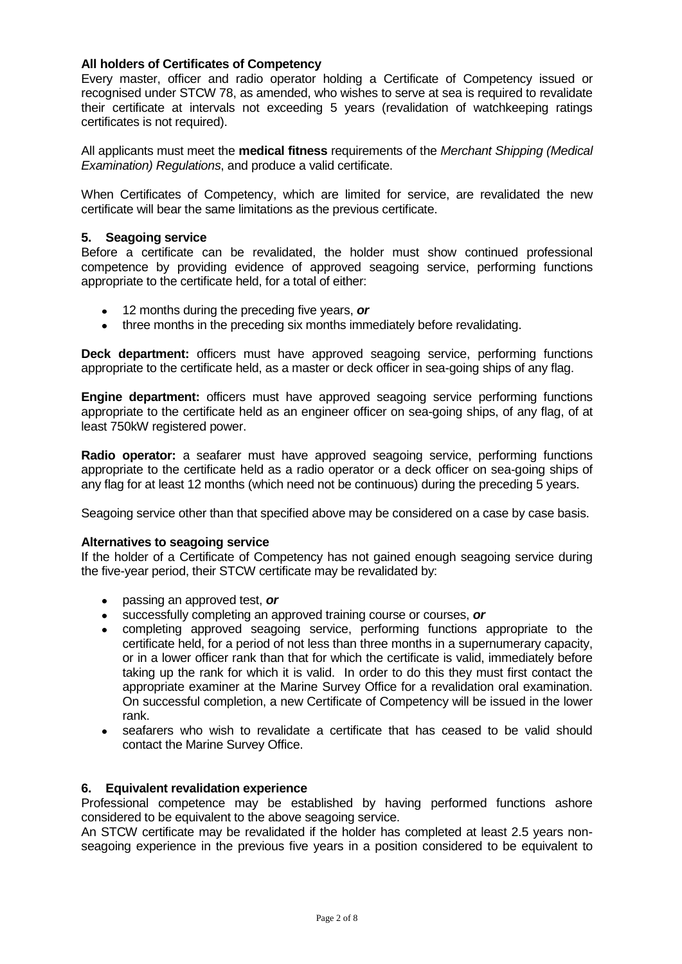### **All holders of Certificates of Competency**

Every master, officer and radio operator holding a Certificate of Competency issued or recognised under STCW 78, as amended, who wishes to serve at sea is required to revalidate their certificate at intervals not exceeding 5 years (revalidation of watchkeeping ratings certificates is not required).

All applicants must meet the **medical fitness** requirements of the *Merchant Shipping (Medical Examination) Regulations*, and produce a valid certificate.

When Certificates of Competency, which are limited for service, are revalidated the new certificate will bear the same limitations as the previous certificate.

### **5. Seagoing service**

Before a certificate can be revalidated, the holder must show continued professional competence by providing evidence of approved seagoing service, performing functions appropriate to the certificate held, for a total of either:

- 12 months during the preceding five years, *or*
- three months in the preceding six months immediately before revalidating.

**Deck department:** officers must have approved seagoing service, performing functions appropriate to the certificate held, as a master or deck officer in sea-going ships of any flag.

**Engine department:** officers must have approved seagoing service performing functions appropriate to the certificate held as an engineer officer on sea-going ships, of any flag, of at least 750kW registered power.

**Radio operator:** a seafarer must have approved seagoing service, performing functions appropriate to the certificate held as a radio operator or a deck officer on sea-going ships of any flag for at least 12 months (which need not be continuous) during the preceding 5 years.

Seagoing service other than that specified above may be considered on a case by case basis.

### **Alternatives to seagoing service**

If the holder of a Certificate of Competency has not gained enough seagoing service during the five-year period, their STCW certificate may be revalidated by:

- passing an approved test, *or*
- successfully completing an approved training course or courses, *or*
- completing approved seagoing service, performing functions appropriate to the certificate held, for a period of not less than three months in a supernumerary capacity, or in a lower officer rank than that for which the certificate is valid, immediately before taking up the rank for which it is valid. In order to do this they must first contact the appropriate examiner at the Marine Survey Office for a revalidation oral examination. On successful completion, a new Certificate of Competency will be issued in the lower rank.
- seafarers who wish to revalidate a certificate that has ceased to be valid should contact the Marine Survey Office.

### **6. Equivalent revalidation experience**

Professional competence may be established by having performed functions ashore considered to be equivalent to the above seagoing service.

An STCW certificate may be revalidated if the holder has completed at least 2.5 years nonseagoing experience in the previous five years in a position considered to be equivalent to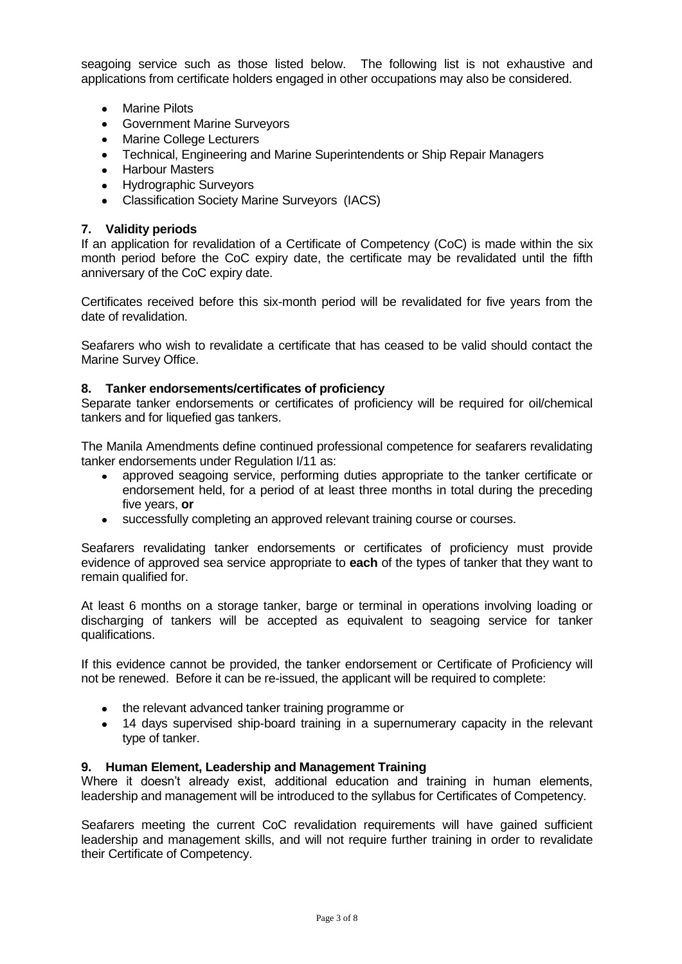seagoing service such as those listed below. The following list is not exhaustive and applications from certificate holders engaged in other occupations may also be considered.

- Marine Pilots
- Government Marine Surveyors
- Marine College Lecturers
- Technical, Engineering and Marine Superintendents or Ship Repair Managers
- Harbour Masters
- Hydrographic Surveyors
- Classification Society Marine Surveyors (IACS)

### **7. Validity periods**

If an application for revalidation of a Certificate of Competency (CoC) is made within the six month period before the CoC expiry date, the certificate may be revalidated until the fifth anniversary of the CoC expiry date.

Certificates received before this six-month period will be revalidated for five years from the date of revalidation.

Seafarers who wish to revalidate a certificate that has ceased to be valid should contact the Marine Survey Office.

### **8. Tanker endorsements/certificates of proficiency**

Separate tanker endorsements or certificates of proficiency will be required for oil/chemical tankers and for liquefied gas tankers.

The Manila Amendments define continued professional competence for seafarers revalidating tanker endorsements under Regulation I/11 as:

- approved seagoing service, performing duties appropriate to the tanker certificate or endorsement held, for a period of at least three months in total during the preceding five years, **or**
- successfully completing an approved relevant training course or courses.

Seafarers revalidating tanker endorsements or certificates of proficiency must provide evidence of approved sea service appropriate to **each** of the types of tanker that they want to remain qualified for.

At least 6 months on a storage tanker, barge or terminal in operations involving loading or discharging of tankers will be accepted as equivalent to seagoing service for tanker qualifications.

If this evidence cannot be provided, the tanker endorsement or Certificate of Proficiency will not be renewed. Before it can be re-issued, the applicant will be required to complete:

- the relevant advanced tanker training programme or
- 14 days supervised ship-board training in a supernumerary capacity in the relevant type of tanker.

### **9. Human Element, Leadership and Management Training**

Where it doesn't already exist, additional education and training in human elements, leadership and management will be introduced to the syllabus for Certificates of Competency.

Seafarers meeting the current CoC revalidation requirements will have gained sufficient leadership and management skills, and will not require further training in order to revalidate their Certificate of Competency.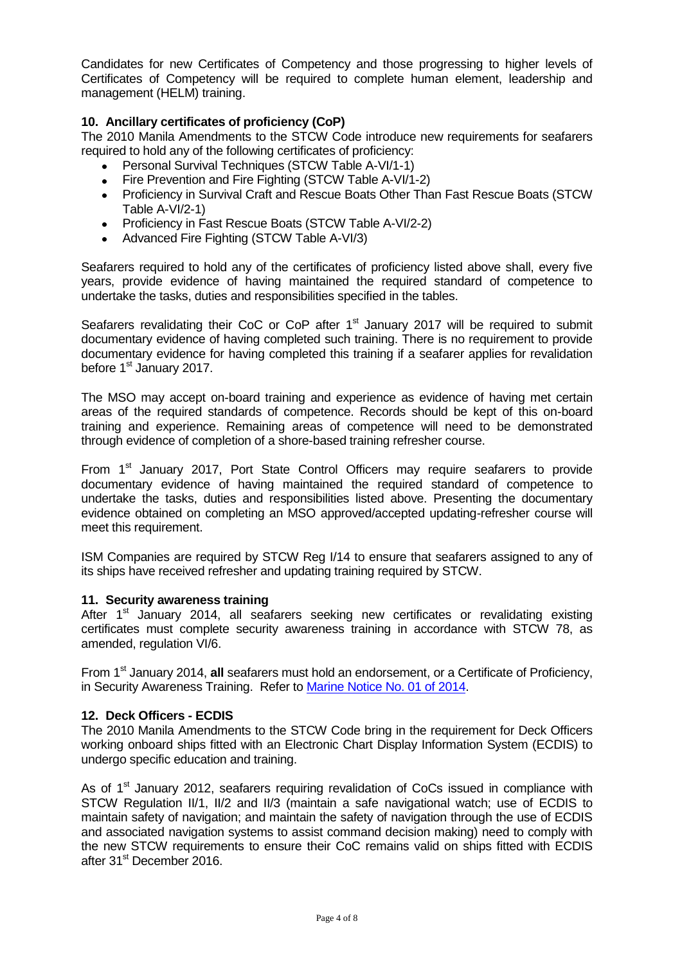Candidates for new Certificates of Competency and those progressing to higher levels of Certificates of Competency will be required to complete human element, leadership and management (HELM) training.

### **10. Ancillary certificates of proficiency (CoP)**

The 2010 Manila Amendments to the STCW Code introduce new requirements for seafarers required to hold any of the following certificates of proficiency:

- Personal Survival Techniques (STCW Table A-VI/1-1)
- Fire Prevention and Fire Fighting (STCW Table A-VI/1-2)
- Proficiency in Survival Craft and Rescue Boats Other Than Fast Rescue Boats (STCW Table A-VI/2-1)
- Proficiency in Fast Rescue Boats (STCW Table A-VI/2-2)
- Advanced Fire Fighting (STCW Table A-VI/3)

Seafarers required to hold any of the certificates of proficiency listed above shall, every five years, provide evidence of having maintained the required standard of competence to undertake the tasks, duties and responsibilities specified in the tables.

Seafarers revalidating their CoC or CoP after 1<sup>st</sup> January 2017 will be required to submit documentary evidence of having completed such training. There is no requirement to provide documentary evidence for having completed this training if a seafarer applies for revalidation before 1<sup>st</sup> January 2017.

The MSO may accept on-board training and experience as evidence of having met certain areas of the required standards of competence. Records should be kept of this on-board training and experience. Remaining areas of competence will need to be demonstrated through evidence of completion of a shore-based training refresher course.

From  $1<sup>st</sup>$  January 2017, Port State Control Officers may require seafarers to provide documentary evidence of having maintained the required standard of competence to undertake the tasks, duties and responsibilities listed above. Presenting the documentary evidence obtained on completing an MSO approved/accepted updating-refresher course will meet this requirement.

ISM Companies are required by STCW Reg I/14 to ensure that seafarers assigned to any of its ships have received refresher and updating training required by STCW.

### **11. Security awareness training**

After  $1<sup>st</sup>$  January 2014, all seafarers seeking new certificates or revalidating existing certificates must complete security awareness training in accordance with STCW 78, as amended, regulation VI/6.

From 1st January 2014, **all** seafarers must hold an endorsement, or a Certificate of Proficiency, in Security Awareness Training. Refer t[o Marine Notice No. 01 of 2014.](http://www.dttas.ie/sites/default/files/corporate/MN01of2014_STCW_ManilaAmendments_securitytraining_1.pdf)

### **12. Deck Officers - ECDIS**

The 2010 Manila Amendments to the STCW Code bring in the requirement for Deck Officers working onboard ships fitted with an Electronic Chart Display Information System (ECDIS) to undergo specific education and training.

As of  $1<sup>st</sup>$  January 2012, seafarers requiring revalidation of CoCs issued in compliance with STCW Regulation II/1, II/2 and II/3 (maintain a safe navigational watch; use of ECDIS to maintain safety of navigation; and maintain the safety of navigation through the use of ECDIS and associated navigation systems to assist command decision making) need to comply with the new STCW requirements to ensure their CoC remains valid on ships fitted with ECDIS after 31<sup>st</sup> December 2016.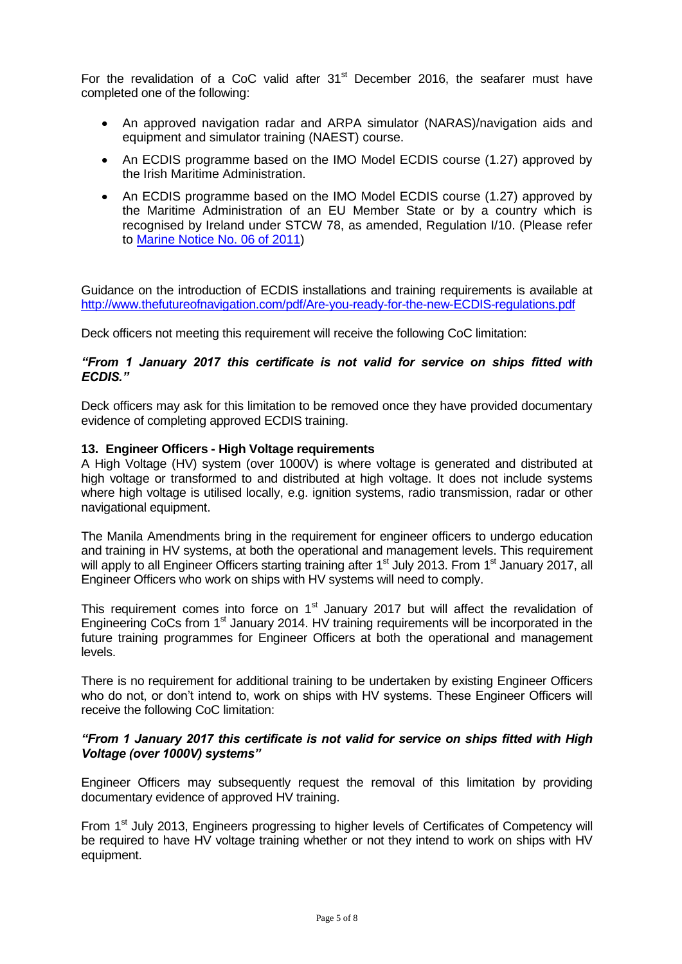For the revalidation of a CoC valid after  $31<sup>st</sup>$  December 2016, the seafarer must have completed one of the following:

- An approved navigation radar and ARPA simulator (NARAS)/navigation aids and equipment and simulator training (NAEST) course.
- An ECDIS programme based on the IMO Model ECDIS course (1.27) approved by the Irish Maritime Administration.
- An ECDIS programme based on the IMO Model ECDIS course (1.27) approved by the Maritime Administration of an EU Member State or by a country which is recognised by Ireland under STCW 78, as amended, Regulation I/10. (Please refer to [Marine Notice No. 06 of 2011\)](http://www.dttas.ie/sites/default/files/corporate/foi-decisions/12948-MARINE_NOTICE_NO__06_OF_2011-1.PDF)

Guidance on the introduction of ECDIS installations and training requirements is available at <http://www.thefutureofnavigation.com/pdf/Are-you-ready-for-the-new-ECDIS-regulations.pdf>

Deck officers not meeting this requirement will receive the following CoC limitation:

### *"From 1 January 2017 this certificate is not valid for service on ships fitted with ECDIS."*

Deck officers may ask for this limitation to be removed once they have provided documentary evidence of completing approved ECDIS training.

### **13. Engineer Officers - High Voltage requirements**

A High Voltage (HV) system (over 1000V) is where voltage is generated and distributed at high voltage or transformed to and distributed at high voltage. It does not include systems where high voltage is utilised locally, e.g. ignition systems, radio transmission, radar or other navigational equipment.

The Manila Amendments bring in the requirement for engineer officers to undergo education and training in HV systems, at both the operational and management levels. This requirement will apply to all Engineer Officers starting training after 1<sup>st</sup> July 2013. From 1<sup>st</sup> January 2017, all Engineer Officers who work on ships with HV systems will need to comply.

This requirement comes into force on  $1<sup>st</sup>$  January 2017 but will affect the revalidation of Engineering CoCs from 1<sup>st</sup> January 2014. HV training requirements will be incorporated in the future training programmes for Engineer Officers at both the operational and management levels.

There is no requirement for additional training to be undertaken by existing Engineer Officers who do not, or don't intend to, work on ships with HV systems. These Engineer Officers will receive the following CoC limitation:

### *"From 1 January 2017 this certificate is not valid for service on ships fitted with High Voltage (over 1000V) systems"*

Engineer Officers may subsequently request the removal of this limitation by providing documentary evidence of approved HV training.

From 1<sup>st</sup> July 2013, Engineers progressing to higher levels of Certificates of Competency will be required to have HV voltage training whether or not they intend to work on ships with HV equipment.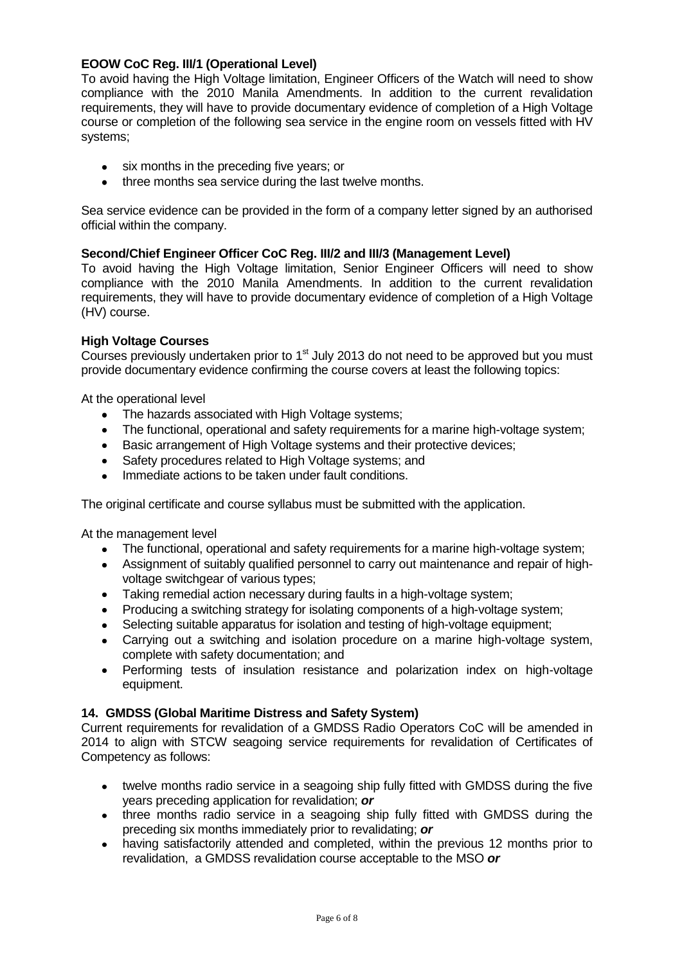### **EOOW CoC Reg. III/1 (Operational Level)**

To avoid having the High Voltage limitation, Engineer Officers of the Watch will need to show compliance with the 2010 Manila Amendments. In addition to the current revalidation requirements, they will have to provide documentary evidence of completion of a High Voltage course or completion of the following sea service in the engine room on vessels fitted with HV systems;

- six months in the preceding five years; or
- three months sea service during the last twelve months.

Sea service evidence can be provided in the form of a company letter signed by an authorised official within the company.

### **Second/Chief Engineer Officer CoC Reg. III/2 and III/3 (Management Level)**

To avoid having the High Voltage limitation, Senior Engineer Officers will need to show compliance with the 2010 Manila Amendments. In addition to the current revalidation requirements, they will have to provide documentary evidence of completion of a High Voltage (HV) course.

### **High Voltage Courses**

Courses previously undertaken prior to  $1<sup>st</sup>$  July 2013 do not need to be approved but you must provide documentary evidence confirming the course covers at least the following topics:

At the operational level

- The hazards associated with High Voltage systems;
- The functional, operational and safety requirements for a marine high-voltage system;
- Basic arrangement of High Voltage systems and their protective devices;
- Safety procedures related to High Voltage systems: and
- Immediate actions to be taken under fault conditions.

The original certificate and course syllabus must be submitted with the application.

At the management level

- The functional, operational and safety requirements for a marine high-voltage system;
- Assignment of suitably qualified personnel to carry out maintenance and repair of highvoltage switchgear of various types:
- Taking remedial action necessary during faults in a high-voltage system;
- Producing a switching strategy for isolating components of a high-voltage system;
- Selecting suitable apparatus for isolation and testing of high-voltage equipment;
- Carrying out a switching and isolation procedure on a marine high-voltage system, complete with safety documentation; and
- Performing tests of insulation resistance and polarization index on high-voltage equipment.

### **14. GMDSS (Global Maritime Distress and Safety System)**

Current requirements for revalidation of a GMDSS Radio Operators CoC will be amended in 2014 to align with STCW seagoing service requirements for revalidation of Certificates of Competency as follows:

- twelve months radio service in a seagoing ship fully fitted with GMDSS during the five years preceding application for revalidation; *or*
- three months radio service in a seagoing ship fully fitted with GMDSS during the preceding six months immediately prior to revalidating; *or*
- having satisfactorily attended and completed, within the previous 12 months prior to revalidation, a GMDSS revalidation course acceptable to the MSO *or*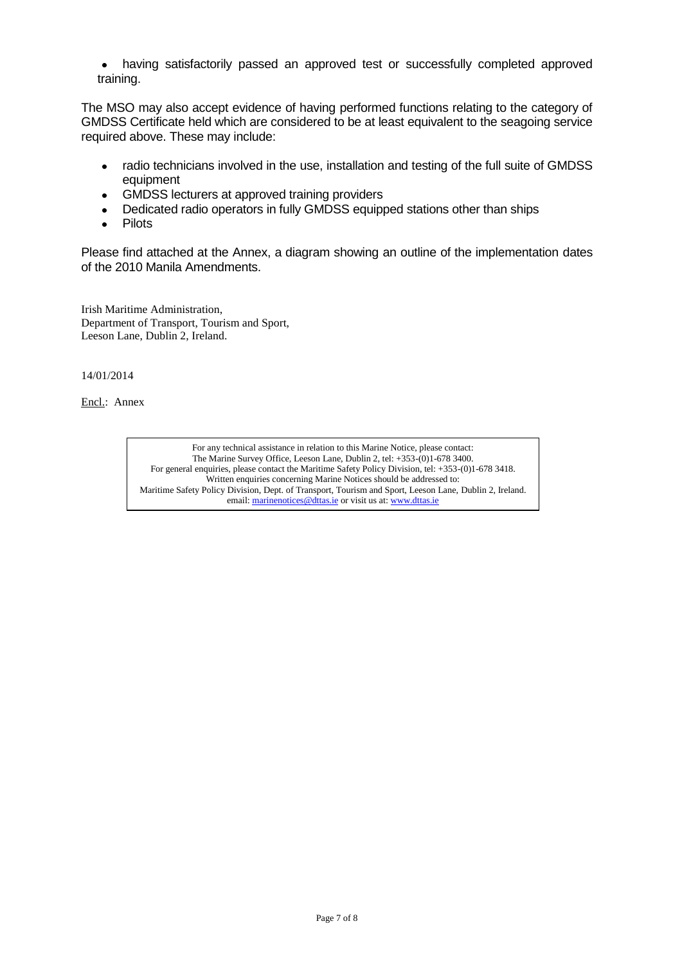having satisfactorily passed an approved test or successfully completed approved training.

The MSO may also accept evidence of having performed functions relating to the category of GMDSS Certificate held which are considered to be at least equivalent to the seagoing service required above. These may include:

- radio technicians involved in the use, installation and testing of the full suite of GMDSS equipment
- GMDSS lecturers at approved training providers
- Dedicated radio operators in fully GMDSS equipped stations other than ships  $\bullet$
- Pilots  $\bullet$

Please find attached at the Annex, a diagram showing an outline of the implementation dates of the 2010 Manila Amendments.

Irish Maritime Administration, Department of Transport, Tourism and Sport, Leeson Lane, Dublin 2, Ireland.

14/01/2014

Encl.: Annex

For any technical assistance in relation to this Marine Notice, please contact: The Marine Survey Office, Leeson Lane, Dublin 2, tel: +353-(0)1-678 3400. For general enquiries, please contact the Maritime Safety Policy Division, tel: +353-(0)1-678 3418. Written enquiries concerning Marine Notices should be addressed to: Maritime Safety Policy Division, Dept. of Transport, Tourism and Sport, Leeson Lane, Dublin 2, Ireland. email: marinenotices@dttas.ie or visit us at[: www.dttas.ie](http://www.dttas.ie/)